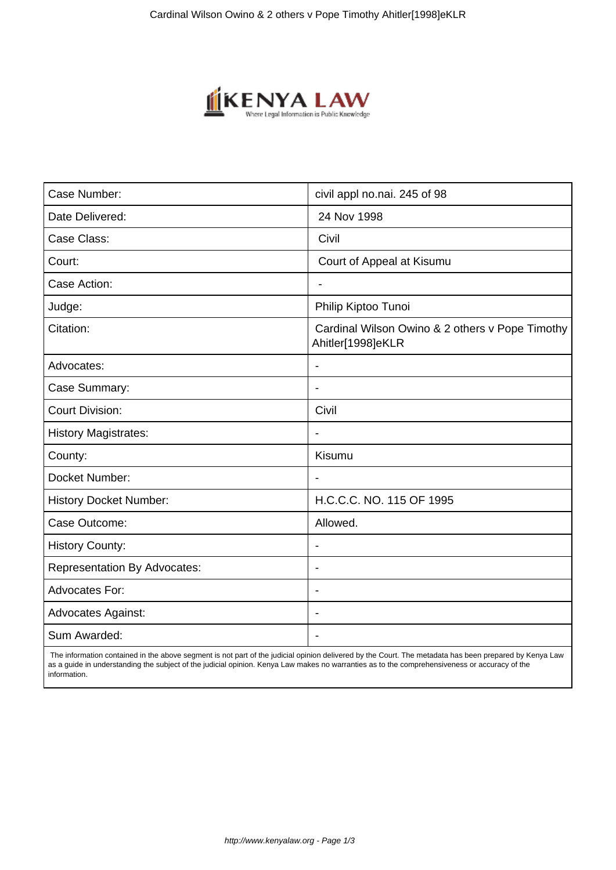

| Case Number:                        | civil appl no.nai. 245 of 98                                         |
|-------------------------------------|----------------------------------------------------------------------|
| Date Delivered:                     | 24 Nov 1998                                                          |
| Case Class:                         | Civil                                                                |
| Court:                              | Court of Appeal at Kisumu                                            |
| Case Action:                        | $\overline{\phantom{0}}$                                             |
| Judge:                              | Philip Kiptoo Tunoi                                                  |
| Citation:                           | Cardinal Wilson Owino & 2 others v Pope Timothy<br>Ahitler[1998]eKLR |
| Advocates:                          |                                                                      |
| Case Summary:                       |                                                                      |
| <b>Court Division:</b>              | Civil                                                                |
| <b>History Magistrates:</b>         | $\overline{\phantom{a}}$                                             |
| County:                             | Kisumu                                                               |
| Docket Number:                      |                                                                      |
| <b>History Docket Number:</b>       | H.C.C.C. NO. 115 OF 1995                                             |
| Case Outcome:                       | Allowed.                                                             |
| <b>History County:</b>              | $\overline{\phantom{a}}$                                             |
| <b>Representation By Advocates:</b> | $\blacksquare$                                                       |
| Advocates For:                      | $\blacksquare$                                                       |
| <b>Advocates Against:</b>           |                                                                      |
| Sum Awarded:                        |                                                                      |

 The information contained in the above segment is not part of the judicial opinion delivered by the Court. The metadata has been prepared by Kenya Law as a guide in understanding the subject of the judicial opinion. Kenya Law makes no warranties as to the comprehensiveness or accuracy of the information.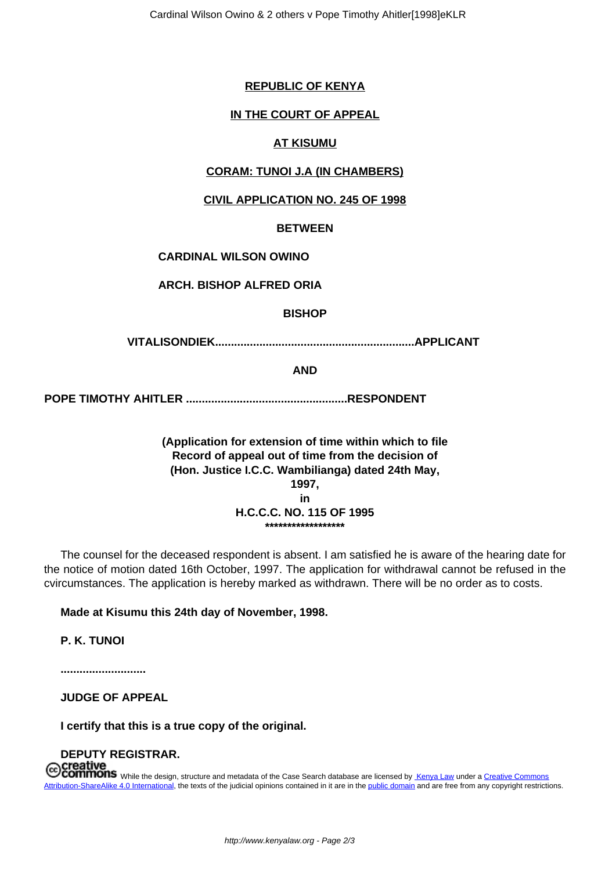## **REPUBLIC OF KENYA**

### **IN THE COURT OF APPEAL**

### **AT KISUMU**

#### **CORAM: TUNOI J.A (IN CHAMBERS)**

#### **CIVIL APPLICATION NO. 245 OF 1998**

#### **BETWEEN**

## **CARDINAL WILSON OWINO**

## **ARCH. BISHOP ALFRED ORIA**

## **BISHOP**

**VITALISONDIEK...............................................................APPLICANT**

## **AND**

**POPE TIMOTHY AHITLER ...................................................RESPONDENT** 

**(Application for extension of time within which to file Record of appeal out of time from the decision of (Hon. Justice I.C.C. Wambilianga) dated 24th May, 1997, in H.C.C.C. NO. 115 OF 1995 \*\*\*\*\*\*\*\*\*\*\*\*\*\*\*\*\*\***

The counsel for the deceased respondent is absent. I am satisfied he is aware of the hearing date for the notice of motion dated 16th October, 1997. The application for withdrawal cannot be refused in the cvircumstances. The application is hereby marked as withdrawn. There will be no order as to costs.

#### **Made at Kisumu this 24th day of November, 1998.**

**P. K. TUNOI**

**...........................**

## **JUDGE OF APPEAL**

**I certify that this is a true copy of the original.**

# **DEPUTY REGISTRAR.**

**MMONS** While the design, structure and metadata of the Case Search database are licensed by Kenya Law under a Creative Commons Attribution-ShareAlike 4.0 International, the texts of the judicial opinions contained in it are in the public domain and are free from any copyright restrictions.